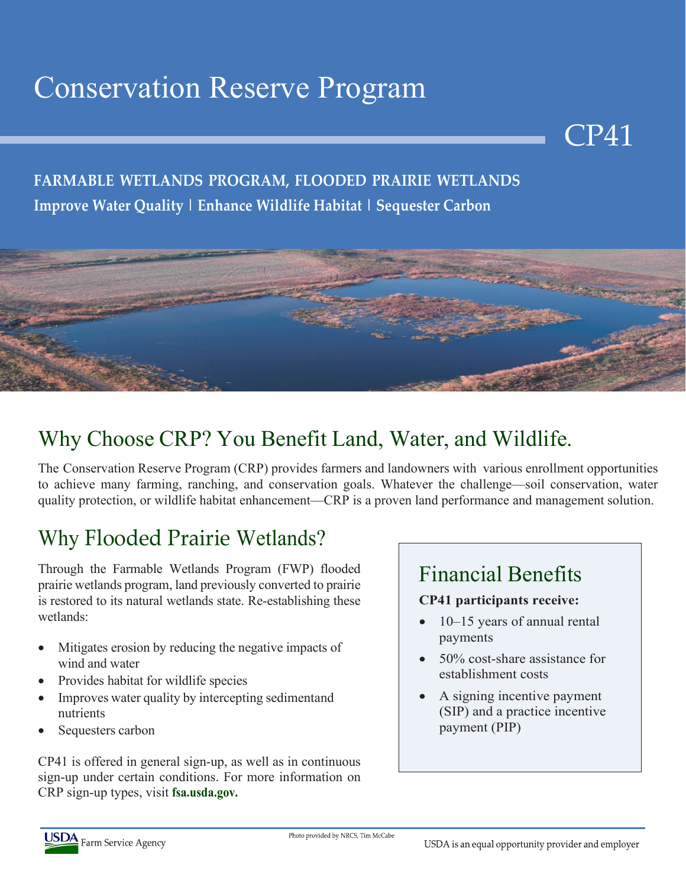# Conservation Reserve Program

### **FARMABLE WETLANDS PROGRAM, FLOODED PRAIRIE WETLANDS Improve Water Quality | Enhance Wildlife Habitat | Sequester Carbon**



## Why Choose CRP? You Benefit Land, Water, and Wildlife.

The Conservation Reserve Program (CRP) provides farmers and landowners with various enrollment opportunities to achieve many farming, ranching, and conservation goals. Whatever the challenge—soil conservation, water quality protection, or wildlife habitat enhancement—CRP is a proven land performance and management solution.

## Why Flooded Prairie Wetlands?

Through the Farmable Wetlands Program (FWP) flooded prairie wetlands program, land previously converted to prairie is restored to its natural wetlands state. Re-establishing these wetlands:

- Mitigates erosion by reducing the negative impacts of wind and water
- Provides habitat for wildlife species
- Improves water quality by intercepting sedimentand nutrients
- Sequesters carbon

CP41 is offered in general sign-up, as well as in continuous sign-up under certain conditions. For more information on CRP sign-up types, visit **fsa.usda.gov.**

## Financial Benefits

#### **CP41 participants receive:**

• 10–15 years of annual rental payments

CP41

- 50% cost-share assistance for establishment costs
- A signing incentive payment (SIP) and a practice incentive payment (PIP)